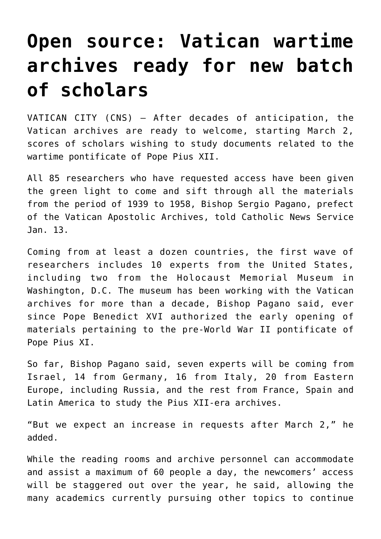## **[Open source: Vatican wartime](https://www.osvnews.com/2020/01/15/open-source-vatican-wartime-archives-ready-for-new-batch-of-scholars/) [archives ready for new batch](https://www.osvnews.com/2020/01/15/open-source-vatican-wartime-archives-ready-for-new-batch-of-scholars/) [of scholars](https://www.osvnews.com/2020/01/15/open-source-vatican-wartime-archives-ready-for-new-batch-of-scholars/)**

VATICAN CITY (CNS) — After decades of anticipation, the Vatican archives are ready to welcome, starting March 2, scores of scholars wishing to study documents related to the wartime pontificate of Pope Pius XII.

All 85 researchers who have requested access have been given the green light to come and sift through all the materials from the period of 1939 to 1958, Bishop Sergio Pagano, prefect of the Vatican Apostolic Archives, told Catholic News Service Jan. 13.

Coming from at least a dozen countries, the first wave of researchers includes 10 experts from the United States, including two from the Holocaust Memorial Museum in Washington, D.C. The museum has been working with the Vatican archives for more than a decade, Bishop Pagano said, ever since Pope Benedict XVI authorized the early opening of materials pertaining to the pre-World War II pontificate of Pope Pius XI.

So far, Bishop Pagano said, seven experts will be coming from Israel, 14 from Germany, 16 from Italy, 20 from Eastern Europe, including Russia, and the rest from France, Spain and Latin America to study the Pius XII-era archives.

"But we expect an increase in requests after March 2," he added.

While the reading rooms and archive personnel can accommodate and assist a maximum of 60 people a day, the newcomers' access will be staggered out over the year, he said, allowing the many academics currently pursuing other topics to continue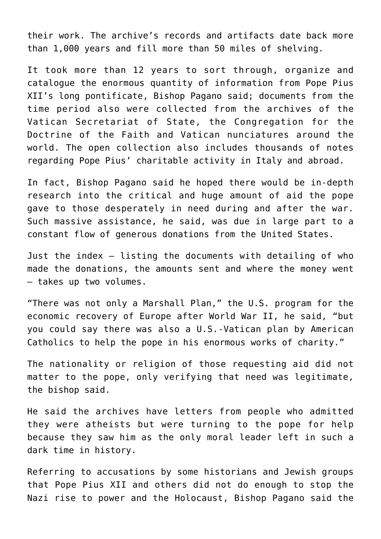their work. The archive's records and artifacts date back more than 1,000 years and fill more than 50 miles of shelving.

It took more than 12 years to sort through, organize and catalogue the enormous quantity of information from Pope Pius XII's long pontificate, Bishop Pagano said; documents from the time period also were collected from the archives of the Vatican Secretariat of State, the Congregation for the Doctrine of the Faith and Vatican nunciatures around the world. The open collection also includes thousands of notes regarding Pope Pius' charitable activity in Italy and abroad.

In fact, Bishop Pagano said he hoped there would be in-depth research into the critical and huge amount of aid the pope gave to those desperately in need during and after the war. Such massive assistance, he said, was due in large part to a constant flow of generous donations from the United States.

Just the index — listing the documents with detailing of who made the donations, the amounts sent and where the money went — takes up two volumes.

"There was not only a Marshall Plan," the U.S. program for the economic recovery of Europe after World War II, he said, "but you could say there was also a U.S.-Vatican plan by American Catholics to help the pope in his enormous works of charity."

The nationality or religion of those requesting aid did not matter to the pope, only verifying that need was legitimate, the bishop said.

He said the archives have letters from people who admitted they were atheists but were turning to the pope for help because they saw him as the only moral leader left in such a dark time in history.

Referring to accusations by some historians and Jewish groups that Pope Pius XII and others did not do enough to stop the Nazi rise to power and the Holocaust, Bishop Pagano said the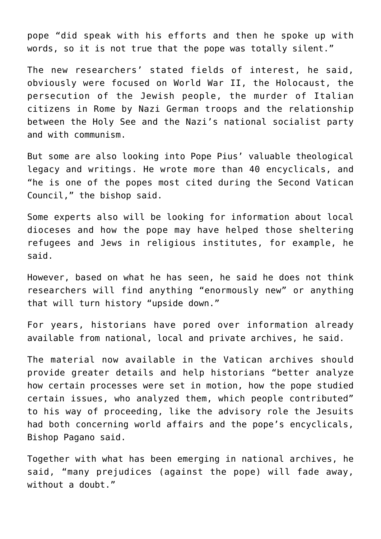pope "did speak with his efforts and then he spoke up with words, so it is not true that the pope was totally silent."

The new researchers' stated fields of interest, he said, obviously were focused on World War II, the Holocaust, the persecution of the Jewish people, the murder of Italian citizens in Rome by Nazi German troops and the relationship between the Holy See and the Nazi's national socialist party and with communism.

But some are also looking into Pope Pius' valuable theological legacy and writings. He wrote more than 40 encyclicals, and "he is one of the popes most cited during the Second Vatican Council," the bishop said.

Some experts also will be looking for information about local dioceses and how the pope may have helped those sheltering refugees and Jews in religious institutes, for example, he said.

However, based on what he has seen, he said he does not think researchers will find anything "enormously new" or anything that will turn history "upside down."

For years, historians have pored over information already available from national, local and private archives, he said.

The material now available in the Vatican archives should provide greater details and help historians "better analyze how certain processes were set in motion, how the pope studied certain issues, who analyzed them, which people contributed" to his way of proceeding, like the advisory role the Jesuits had both concerning world affairs and the pope's encyclicals, Bishop Pagano said.

Together with what has been emerging in national archives, he said, "many prejudices (against the pope) will fade away, without a doubt."